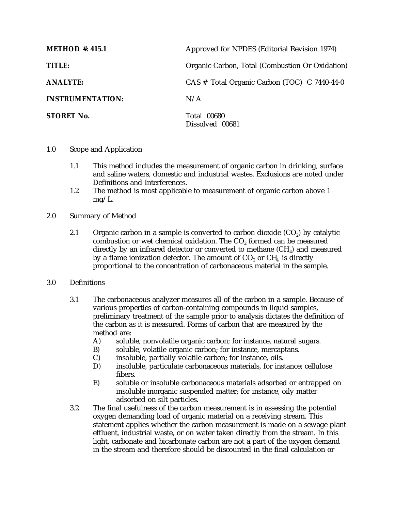| <b>METHOD</b> #: 415.1  | Approved for NPDES (Editorial Revision 1974)    |  |
|-------------------------|-------------------------------------------------|--|
| TITLE:                  | Organic Carbon, Total (Combustion Or Oxidation) |  |
| <b>ANALYTE:</b>         | CAS # Total Organic Carbon (TOC) C 7440-44-0    |  |
| <b>INSTRUMENTATION:</b> | N/A                                             |  |
| <b>STORET No.</b>       | <b>Total 00680</b><br>Dissolved 00681           |  |

- 1.0 Scope and Application
	- 1.1 This method includes the measurement of organic carbon in drinking, surface and saline waters, domestic and industrial wastes. Exclusions are noted under Definitions and Interferences.
	- 1.2 The method is most applicable to measurement of organic carbon above 1 mg/L.
- 2.0 Summary of Method
	- 2.1 Organic carbon in a sample is converted to carbon dioxide  $(CO<sub>2</sub>)$  by catalytic combustion or wet chemical oxidation. The CO<sub>2</sub> formed can be measured directly by an infrared detector or converted to methane  $(CH_4)$  and measured by a flame ionization detector. The amount of  $CO<sub>2</sub>$  or  $CH<sub>4</sub>$  is directly proportional to the concentration of carbonaceous material in the sample.
- 3.0 Definitions
	- 3.1 The carbonaceous analyzer measures all of the carbon in a sample. Because of various properties of carbon-containing compounds in liquid samples, preliminary treatment of the sample prior to analysis dictates the definition of the carbon as it is measured. Forms of carbon that are measured by the method are:
		- A) soluble, nonvolatile organic carbon; for instance, natural sugars.
		- B) soluble, volatile organic carbon; for instance, mercaptans.
		- C) insoluble, partially volatile carbon; for instance, oils.<br>D) insoluble, particulate carbonaceous materials, for ins
		- insoluble, particulate carbonaceous materials, for instance; cellulose fibers.
		- E) soluble or insoluble carbonaceous materials adsorbed or entrapped on insoluble inorganic suspended matter; for instance, oily matter adsorbed on silt particles.
	- 3.2 The final usefulness of the carbon measurement is in assessing the potential oxygen demanding load of organic material on a receiving stream. This statement applies whether the carbon measurement is made on a sewage plant effluent, industrial waste, or on water taken directly from the stream. In this light, carbonate and bicarbonate carbon are not a part of the oxygen demand in the stream and therefore should be discounted in the final calculation or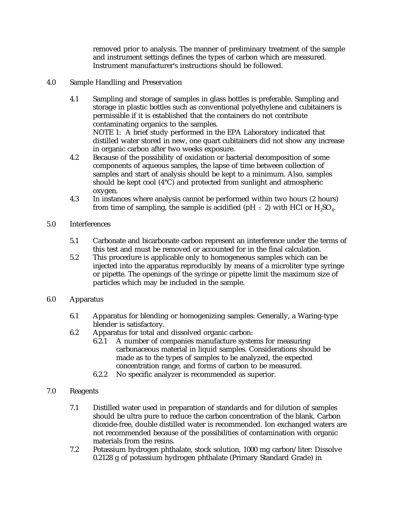removed prior to analysis. The manner of preliminary treatment of the sample and instrument settings defines the types of carbon which are measured. Instrument manufacturer's instructions should be followed.

### 4.0 Sample Handling and Preservation

- 4.1 Sampling and storage of samples in glass bottles is preferable. Sampling and storage in plastic bottles such as conventional polyethylene and cubitainers is permissible if it is established that the containers do not contribute contaminating organics to the samples. NOTE 1: A brief study performed in the EPA Laboratory indicated that distilled water stored in new, one quart cubitainers did not show any increase in organic carbon after two weeks exposure.
- 4.2 Because of the possibility of oxidation or bacterial decomposition of some components of aqueous samples, the lapse of time between collection of samples and start of analysis should be kept to a minimum. Also, samples should be kept cool (4°C) and protected from sunlight and atmospheric oxygen.
- 4.3 In instances where analysis cannot be performed within two hours (2 hours) from time of sampling, the sample is acidified (pH  $\leq$  2) with HCl or H<sub>2</sub>SO<sub>4</sub>.

#### 5.0 Interferences

- 5.1 Carbonate and bicarbonate carbon represent an interference under the terms of this test and must be removed or accounted for in the final calculation.
- 5.2 This procedure is applicable only to homogeneous samples which can be injected into the apparatus reproducibly by means of a microliter type syringe or pipette. The openings of the syringe or pipette limit the maximum size of particles which may be included in the sample.

# 6.0 Apparatus

- 6.1 Apparatus for blending or homogenizing samples: Generally, a Waring-type blender is satisfactory.
- 6.2 Apparatus for total and dissolved organic carbon:<br>6.2.1 A number of companies manufacture syste
	- A number of companies manufacture systems for measuring carbonaceous material in liquid samples. Considerations should be made as to the types of samples to be analyzed, the expected concentration range, and forms of carbon to be measured.
	- 6.2.2 No specific analyzer is recommended as superior.
- 7.0 Reagents
	- 7.1 Distilled water used in preparation of standards and for dilution of samples should be ultra pure to reduce the carbon concentration of the blank. Carbon dioxide-free, double distilled water is recommended. Ion exchanged waters are not recommended because of the possibilities of contamination with organic materials from the resins.
	- 7.2 Potassium hydrogen phthalate, stock solution, 1000 mg carbon/liter: Dissolve 0.2128 g of potassium hydrogen phthalate (Primary Standard Grade) in